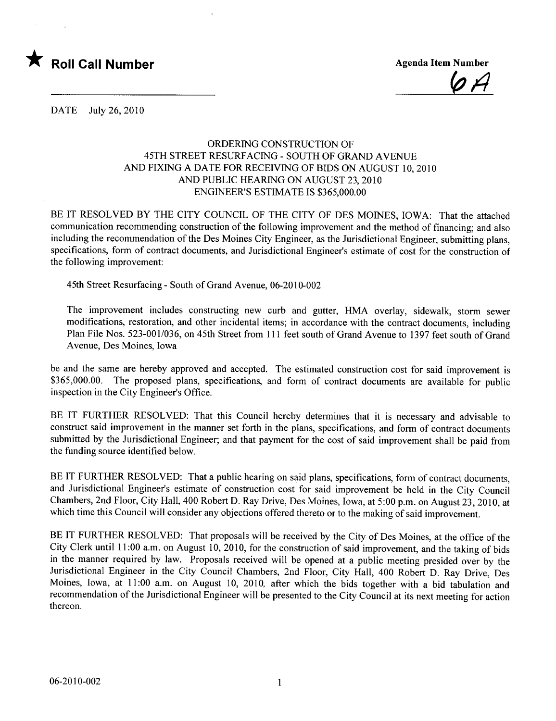

 $\varphi$   $\varphi$ 

DATE July 26, 2010

## ORDERING CONSTRUCTION OF 45TH STREET RESURFACING - SOUTH OF GRAND AVENUE AND FIXING A DATE FOR RECEIVING OF BIDS ON AUGUST 10,2010 AND PUBLIC HEARING ON AUGUST 23, 2010 ENGINEER'S ESTIMATE IS \$365,000.00

BE IT RESOLVED BY THE CITY COUNCIL OF THE CITY OF DES MOINES, IOWA: That the attached communication recommending construction of the following improvement and the method of financing; and also including the recommendation of the Des Moines City Engineer, as the Jurisdictional Engineer, submitting plans, specifications, form of contract documents, and Jurisdictional Engineer's estimate of cost for the construction of the following improvement:

45th Street Resurfacing - South of Grand Avenue, 06-2010-002

The improvement includes constructing new curb and gutter, HMA overlay, sidewalk, storm sewer modifications, restoration, and other incidental items; in accordance with the contract documents, including Plan File Nos. 523-001/036, on 45th Street from 111 feet south of Grand Avenue to 1397 feet south of Grand Avenue, Des Moines, Iowa

be and the same are hereby approved and accepted. The estimated construction cost for said improvement is \$365,000.00. The proposed plans, specifications, and form of contract documents are available for public inspection in the City Engineer's Office.

BE IT FURTHER RESOLVED: That this Council hereby determines that it is necessary and advisable to construct said improvement in the manner set forth in the plans, specifications, and form of contract documents submitted by the Jurisdictional Engineer; and that payment for the cost of said improvement shall be paid from the funding source identified below.

BE IT FURTHER RESOLVED: That a public hearing on said plans, specifications, form of contract documents, and Jurisdictional Engineer's estimate of construction cost for said improvement be held in the City Council Chambers, 2nd Floor, City Hall, 400 Robert D. Ray Drive, Des Moines, Iowa, at 5:00 p.m. on August 23,2010, at which time this Council will consider any objections offered thereto or to the making of said improvement.

BE IT FURTHER RESOLVED: That proposals will be received by the City of Des Moines, at the office of the City Clerk until 11 :00 a.m. on August 10, 2010, for the construction of said improvement, and the taking of bids in the manner required by law. Proposals received will be opened at a public meeting presided over by the Jurisdictional Engineer in the City Council Chambers, 2nd Floor, City Hall, 400 Robert D. Ray Drive, Des Moines, Iowa, at 11:00 a.m. on August 10, 2010, after which the bids together with a bid tabulation and recommendation of the Jurisdictional Engineer will be presented to the City Council at its next meeting for action thereon.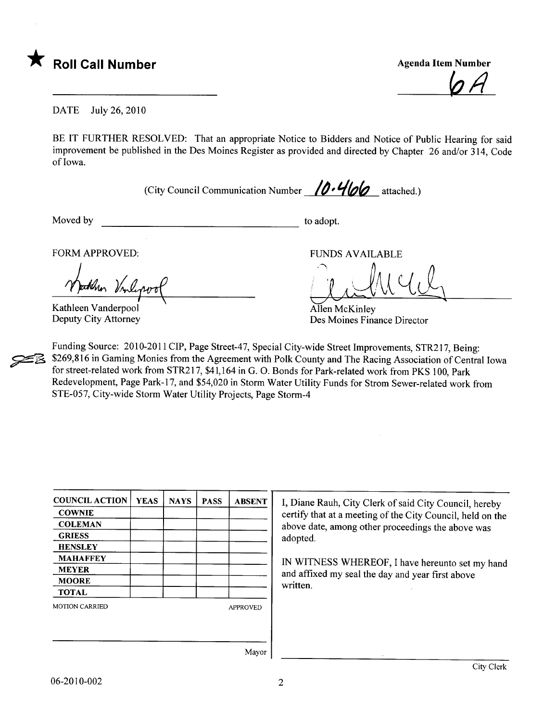

 $\varphi$  H

DATE July 26,2010

BE IT FURTHER RESOLVED: That an appropriate Notice to Bidders and Notice of Public Hearing for said improvement be published in the Des Moines Register as provided and directed by Chapter 26 and/or 314, Code of Iowa.

(City Council Communication Number  $/0.466$  attached.)

Moved by to adopt.

**22** 

FORM APPROVED:

then Vinlepor

Kathleen Vanderpool Deputy City Attorney

FUNDS AVAILABLE

Allen McKinley

Des Moines Finance Director

Funding Source: 2010-2011 CIP, Page Street-47, Special City-wide Street Improvements, STR217, Being: \$269,816 in Gaming Monies from the Agreement with Polk County and The Racing Association of Central Iowa for street-related work from STR217, \$41,164 in G. O. Bonds for Park-related work from PKS 100, Park Redevelopment, Page Park-17, and \$54,020 in Storm Water Utility Funds for Strom Sewer-related work from STE-057, City-wide Storm Water Utility Projects, Page Storm-4

| <b>COUNCIL ACTION</b> | <b>YEAS</b> | <b>NAYS</b> | <b>PASS</b> | <b>ABSENT</b>   |
|-----------------------|-------------|-------------|-------------|-----------------|
| <b>COWNIE</b>         |             |             |             |                 |
| <b>COLEMAN</b>        |             |             |             |                 |
| <b>GRIESS</b>         |             |             |             |                 |
| <b>HENSLEY</b>        |             |             |             |                 |
| <b>MAHAFFEY</b>       |             |             |             |                 |
| <b>MEYER</b>          |             |             |             |                 |
| <b>MOORE</b>          |             |             |             |                 |
| <b>TOTAL</b>          |             |             |             |                 |
| <b>MOTION CARRIED</b> |             |             |             | <b>APPROVED</b> |
|                       |             |             |             |                 |
|                       |             |             |             |                 |
|                       |             |             |             | $\sim$          |

I, Diane Rauh, City Clerk of said City Council, hereby certify that at a meeting of the City Council, held on the above date, among other proceedings the above was adopted.

IN WITNESS WHEREOF, I have hereunto set my hand and affixed my seal the day and year first above written.

Mayor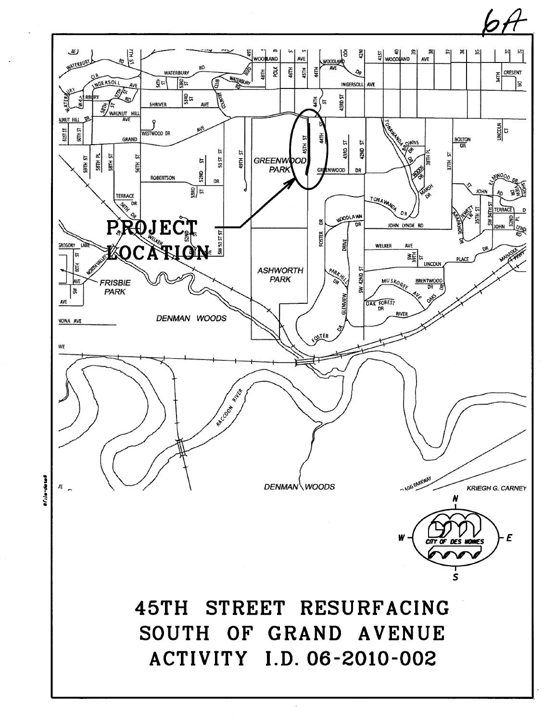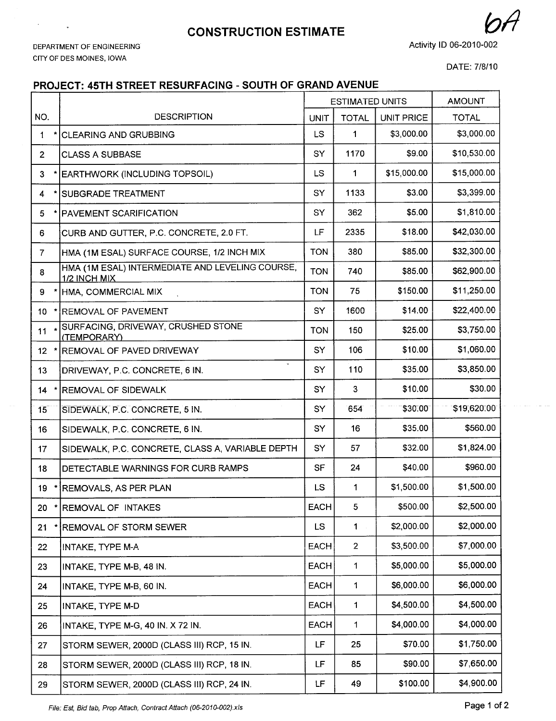## **CONSTRUCTION ESTIMATE**

DEPARTMENT OF ENGINEERING CITY OF DES MOINES, IOWA

 $\mathcal{L}^{\text{max}}_{\text{max}}$ 

 $\bar{\phantom{a}}$ 

Activity 10 06-2010-002

DATE: 7/8/10

## PROJECT: 45TH STREET RESURFACING - SOUTH OF GRAND AVENUE

|                 |                                                                 | <b>ESTIMATED UNITS</b> |                | <b>AMOUNT</b>     |              |
|-----------------|-----------------------------------------------------------------|------------------------|----------------|-------------------|--------------|
| NO.             | <b>DESCRIPTION</b>                                              | <b>UNIT</b>            | <b>TOTAL</b>   | <b>UNIT PRICE</b> | <b>TOTAL</b> |
| $\mathbf{1}$    | <b>CLEARING AND GRUBBING</b>                                    | <b>LS</b>              | 1              | \$3,000.00        | \$3,000.00   |
| 2 <sup>1</sup>  | <b>CLASS A SUBBASE</b>                                          | SY                     | 1170           | \$9.00            | \$10,530.00  |
| 3 <sup>1</sup>  | EARTHWORK (INCLUDING TOPSOIL)                                   | <b>LS</b>              | $\mathbf{1}$   | \$15,000.00       | \$15,000.00  |
| 4               | <b>SUBGRADE TREATMENT</b>                                       | SY                     | 1133           | \$3.00            | \$3,399.00   |
| 5               | <b>PAVEMENT SCARIFICATION</b>                                   | SY                     | 362            | \$5.00            | \$1,810.00   |
| 6               | CURB AND GUTTER, P.C. CONCRETE, 2.0 FT.                         | LF                     | 2335           | \$18.00           | \$42,030.00  |
| $\overline{7}$  | HMA (1M ESAL) SURFACE COURSE, 1/2 INCH MIX                      | <b>TON</b>             | 380            | \$85.00           | \$32,300.00  |
| 8               | HMA (1M ESAL) INTERMEDIATE AND LEVELING COURSE,<br>1/2 INCH MIX | <b>TON</b>             | 740            | \$85.00           | \$62,900.00  |
| 9               | HMA, COMMERCIAL MIX                                             | <b>TON</b>             | 75             | \$150.00          | \$11,250.00  |
| $10-10$         | * REMOVAL OF PAVEMENT                                           | SY                     | 1600           | \$14.00           | \$22,400.00  |
| 11              | SURFACING, DRIVEWAY, CRUSHED STONE<br>(TEMPORARY)               | <b>TON</b>             | 150            | \$25.00           | \$3,750.00   |
| 12 <sub>2</sub> | REMOVAL OF PAVED DRIVEWAY                                       | SY                     | 106            | \$10.00           | \$1,060.00   |
| 13              | $\omega$<br>DRIVEWAY, P.C. CONCRETE, 6 IN.                      | SY                     | 110            | \$35.00           | \$3,850.00   |
| 14              | <b>REMOVAL OF SIDEWALK</b>                                      | SY                     | 3              | \$10.00           | \$30.00      |
| 15              | SIDEWALK, P.C. CONCRETE, 5 IN.                                  | SY                     | 654            | \$30.00           | \$19,620.00  |
| 16              | SIDEWALK, P.C. CONCRETE, 6 IN.                                  | SY                     | 16             | \$35.00           | \$560.00     |
| 17              | SIDEWALK, P.C. CONCRETE, CLASS A, VARIABLE DEPTH                | SY                     | 57             | \$32.00           | \$1,824.00   |
| 18              | DETECTABLE WARNINGS FOR CURB RAMPS                              | SF                     | 24             | \$40.00           | \$960.00     |
| 19              | REMOVALS, AS PER PLAN                                           | LS                     | 1              | \$1,500.00        | \$1,500.00   |
| 20              | REMOVAL OF INTAKES                                              | EACH                   | 5              | \$500.00          | \$2,500.00   |
| 21              | REMOVAL OF STORM SEWER                                          | <b>LS</b>              | 1              | \$2,000.00        | \$2,000.00   |
| 22              | INTAKE, TYPE M-A                                                | <b>EACH</b>            | $\overline{2}$ | \$3,500.00        | \$7,000.00   |
| 23              | INTAKE, TYPE M-B, 48 IN.                                        | <b>EACH</b>            | 1              | \$5,000.00        | \$5,000.00   |
| 24              | INTAKE, TYPE M-B, 60 IN.                                        | <b>EACH</b>            | $\mathbf 1$    | \$6,000.00        | \$6,000.00   |
| 25              | INTAKE, TYPE M-D                                                | <b>EACH</b>            | $\mathbf 1$    | \$4,500.00        | \$4,500.00   |
| 26              | INTAKE, TYPE M-G, 40 IN. X 72 IN.                               | EACH                   | 1              | \$4,000.00        | \$4,000.00   |
| 27              | STORM SEWER, 2000D (CLASS III) RCP, 15 IN.                      | LF                     | 25             | \$70.00           | \$1,750.00   |
| 28              | STORM SEWER, 2000D (CLASS III) RCP, 18 IN.                      | LF                     | 85             | \$90.00           | \$7,650.00   |
| 29              | STORM SEWER, 2000D (CLASS III) RCP, 24 IN.                      | LF                     | 49             | \$100.00          | \$4,900.00   |

File: Est, Bid tab, Prop Attach, Contract Attach (06-2010-002).xls extending the state of 2 and 2 Page 1 of 2

 $\mathcal{A}$  is a summary constraint.